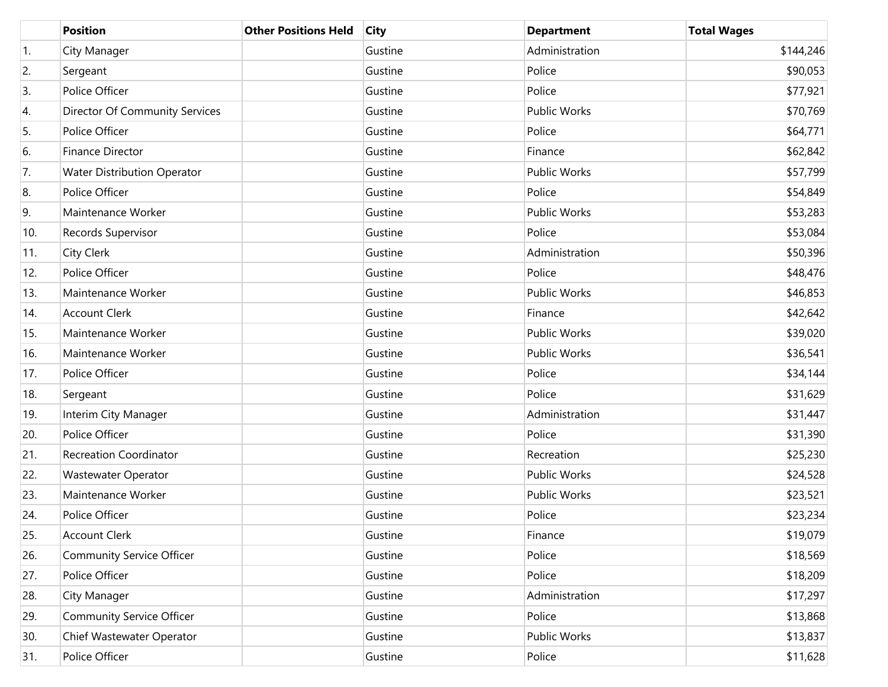|                  | <b>Position</b>                       | <b>Other Positions Held</b> | <b>City</b> | <b>Department</b>   | <b>Total Wages</b> |
|------------------|---------------------------------------|-----------------------------|-------------|---------------------|--------------------|
| $\overline{1}$ . | City Manager                          |                             | Gustine     | Administration      | \$144,246          |
| 2.               | Sergeant                              |                             | Gustine     | Police              | \$90,053           |
| 3.               | Police Officer                        |                             | Gustine     | Police              | \$77,921           |
| 4.               | <b>Director Of Community Services</b> |                             | Gustine     | <b>Public Works</b> | \$70,769           |
| 5.               | Police Officer                        |                             | Gustine     | Police              | \$64,771           |
| 6.               | Finance Director                      |                             | Gustine     | Finance             | \$62,842           |
| 7.               | <b>Water Distribution Operator</b>    |                             | Gustine     | <b>Public Works</b> | \$57,799           |
| 8.               | Police Officer                        |                             | Gustine     | Police              | \$54,849           |
| 9.               | Maintenance Worker                    |                             | Gustine     | Public Works        | \$53,283           |
| 10.              | Records Supervisor                    |                             | Gustine     | Police              | \$53,084           |
| 11.              | City Clerk                            |                             | Gustine     | Administration      | \$50,396           |
| 12.              | Police Officer                        |                             | Gustine     | Police              | \$48,476           |
| 13.              | Maintenance Worker                    |                             | Gustine     | <b>Public Works</b> | \$46,853           |
| 14.              | <b>Account Clerk</b>                  |                             | Gustine     | Finance             | \$42,642           |
| 15.              | Maintenance Worker                    |                             | Gustine     | Public Works        | \$39,020           |
| 16.              | Maintenance Worker                    |                             | Gustine     | Public Works        | \$36,541           |
| 17.              | Police Officer                        |                             | Gustine     | Police              | \$34,144           |
| 18.              | Sergeant                              |                             | Gustine     | Police              | \$31,629           |
| 19.              | Interim City Manager                  |                             | Gustine     | Administration      | \$31,447           |
| 20.              | Police Officer                        |                             | Gustine     | Police              | \$31,390           |
| 21.              | <b>Recreation Coordinator</b>         |                             | Gustine     | Recreation          | \$25,230           |
| 22.              | <b>Wastewater Operator</b>            |                             | Gustine     | <b>Public Works</b> | \$24,528           |
| 23.              | Maintenance Worker                    |                             | Gustine     | Public Works        | \$23,521           |
| 24.              | Police Officer                        |                             | Gustine     | Police              | \$23,234           |
| 25.              | <b>Account Clerk</b>                  |                             | Gustine     | Finance             | \$19,079           |
| 26.              | <b>Community Service Officer</b>      |                             | Gustine     | Police              | \$18,569           |
| 27.              | Police Officer                        |                             | Gustine     | Police              | \$18,209           |
| 28.              | City Manager                          |                             | Gustine     | Administration      | \$17,297           |
| 29.              | <b>Community Service Officer</b>      |                             | Gustine     | Police              | \$13,868           |
| 30.              | Chief Wastewater Operator             |                             | Gustine     | Public Works        | \$13,837           |
| 31.              | Police Officer                        |                             | Gustine     | Police              | \$11,628           |